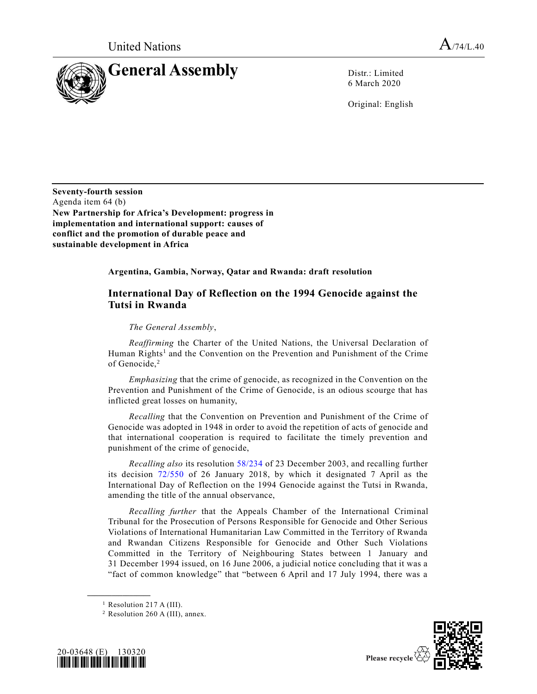

6 March 2020

Original: English

**Seventy-fourth session** Agenda item 64 (b) **New Partnership for Africa's Development: progress in implementation and international support: causes of conflict and the promotion of durable peace and sustainable development in Africa**

**Argentina, Gambia, Norway, Qatar and Rwanda: draft resolution**

## **International Day of Reflection on the 1994 Genocide against the Tutsi in Rwanda**

## *The General Assembly*,

*Reaffirming* the Charter of the United Nations, the Universal Declaration of Human Rights<sup>1</sup> and the Convention on the Prevention and Punishment of the Crime of Genocide.<sup>2</sup>

*Emphasizing* that the crime of genocide, as recognized in the Convention on the Prevention and Punishment of the Crime of Genocide, is an odious scourge that has inflicted great losses on humanity,

*Recalling* that the Convention on Prevention and Punishment of the Crime of Genocide was adopted in 1948 in order to avoid the repetition of acts of genocide and that international cooperation is required to facilitate the timely prevention and punishment of the crime of genocide,

*Recalling also* its resolution [58/234](https://undocs.org/A/RES/58/234) of 23 December 2003, and recalling further its decision [72/550](https://undocs.org/A/RES/72/550) of 26 January 2018, by which it designated 7 April as the International Day of Reflection on the 1994 Genocide against the Tutsi in Rwanda, amending the title of the annual observance,

*Recalling further* that the Appeals Chamber of the International Criminal Tribunal for the Prosecution of Persons Responsible for Genocide and Other Serious Violations of International Humanitarian Law Committed in the Territory of Rwanda and Rwandan Citizens Responsible for Genocide and Other Such Violations Committed in the Territory of Neighbouring States between 1 January and 31 December 1994 issued, on 16 June 2006, a judicial notice concluding that it was a "fact of common knowledge" that "between 6 April and 17 July 1994, there was a

**\_\_\_\_\_\_\_\_\_\_\_\_\_\_\_\_\_\_**

<sup>2</sup> Resolution 260 A (III), annex.





 $<sup>1</sup>$  Resolution 217 A (III).</sup>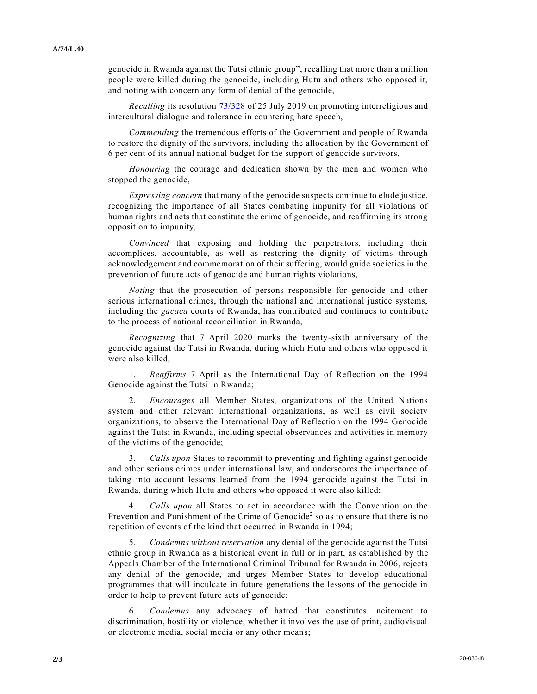genocide in Rwanda against the Tutsi ethnic group", recalling that more than a million people were killed during the genocide, including Hutu and others who opposed it, and noting with concern any form of denial of the genocide,

*Recalling* its resolution [73/328](https://undocs.org/A/RES/73/328) of 25 July 2019 on promoting interreligious and intercultural dialogue and tolerance in countering hate speech,

*Commending* the tremendous efforts of the Government and people of Rwanda to restore the dignity of the survivors, including the allocation by the Government of 6 per cent of its annual national budget for the support of genocide survivors,

*Honouring* the courage and dedication shown by the men and women who stopped the genocide,

*Expressing concern* that many of the genocide suspects continue to elude justice, recognizing the importance of all States combating impunity for all violations of human rights and acts that constitute the crime of genocide, and reaffirming its strong opposition to impunity,

*Convinced* that exposing and holding the perpetrators, including their accomplices, accountable, as well as restoring the dignity of victims through acknowledgement and commemoration of their suffering, would guide societies in the prevention of future acts of genocide and human rights violations,

*Noting* that the prosecution of persons responsible for genocide and other serious international crimes, through the national and international justice systems, including the *gacaca* courts of Rwanda, has contributed and continues to contribute to the process of national reconciliation in Rwanda,

*Recognizing* that 7 April 2020 marks the twenty-sixth anniversary of the genocide against the Tutsi in Rwanda, during which Hutu and others who opposed it were also killed,

1. *Reaffirms* 7 April as the International Day of Reflection on the 1994 Genocide against the Tutsi in Rwanda;

2. *Encourages* all Member States, organizations of the United Nations system and other relevant international organizations, as well as civil society organizations, to observe the International Day of Reflection on the 1994 Genocide against the Tutsi in Rwanda, including special observances and activities in memory of the victims of the genocide;

3. *Calls upon* States to recommit to preventing and fighting against genocide and other serious crimes under international law, and underscores the importance of taking into account lessons learned from the 1994 genocide against the Tutsi in Rwanda, during which Hutu and others who opposed it were also killed;

4. *Calls upon* all States to act in accordance with the Convention on the Prevention and Punishment of the Crime of Genocide<sup>2</sup> so as to ensure that there is no repetition of events of the kind that occurred in Rwanda in 1994;

5. *Condemns without reservation* any denial of the genocide against the Tutsi ethnic group in Rwanda as a historical event in full or in part, as established by the Appeals Chamber of the International Criminal Tribunal for Rwanda in 2006, rejects any denial of the genocide, and urges Member States to develop educational programmes that will inculcate in future generations the lessons of the genocide in order to help to prevent future acts of genocide;

6. *Condemns* any advocacy of hatred that constitutes incitement to discrimination, hostility or violence, whether it involves the use of print, audiovisual or electronic media, social media or any other means;